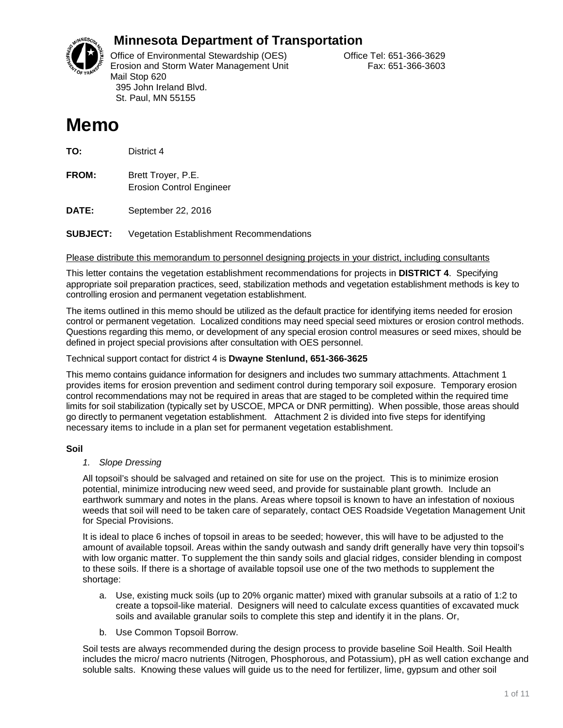

# **Minnesota Department of Transportation**

Office of Environmental Stewardship (OES) Correct Correct Correct Correct Correct Office Tel: 651-366-3629 Erosion and Storm Water Management Unit Fax: 651-366-3603 Mail Stop 620 395 John Ireland Blvd. St. Paul, MN 55155

# **Memo**

**TO:** District 4

**FROM:** Brett Troyer, P.E. Erosion Control Engineer

**DATE:** September 22, 2016

**SUBJECT:** Vegetation Establishment Recommendations

Please distribute this memorandum to personnel designing projects in your district, including consultants

This letter contains the vegetation establishment recommendations for projects in **DISTRICT 4**. Specifying appropriate soil preparation practices, seed, stabilization methods and vegetation establishment methods is key to controlling erosion and permanent vegetation establishment.

The items outlined in this memo should be utilized as the default practice for identifying items needed for erosion control or permanent vegetation. Localized conditions may need special seed mixtures or erosion control methods. Questions regarding this memo, or development of any special erosion control measures or seed mixes, should be defined in project special provisions after consultation with OES personnel.

Technical support contact for district 4 is **Dwayne Stenlund, 651-366-3625**

This memo contains guidance information for designers and includes two summary attachments. Attachment 1 provides items for erosion prevention and sediment control during temporary soil exposure. Temporary erosion control recommendations may not be required in areas that are staged to be completed within the required time limits for soil stabilization (typically set by USCOE, MPCA or DNR permitting). When possible, those areas should go directly to permanent vegetation establishment. Attachment 2 is divided into five steps for identifying necessary items to include in a plan set for permanent vegetation establishment.

### **Soil**

#### *1. Slope Dressing*

All topsoil's should be salvaged and retained on site for use on the project. This is to minimize erosion potential, minimize introducing new weed seed, and provide for sustainable plant growth. Include an earthwork summary and notes in the plans. Areas where topsoil is known to have an infestation of noxious weeds that soil will need to be taken care of separately, contact OES Roadside Vegetation Management Unit for Special Provisions.

It is ideal to place 6 inches of topsoil in areas to be seeded; however, this will have to be adjusted to the amount of available topsoil. Areas within the sandy outwash and sandy drift generally have very thin topsoil's with low organic matter. To supplement the thin sandy soils and glacial ridges, consider blending in compost to these soils. If there is a shortage of available topsoil use one of the two methods to supplement the shortage:

- a. Use, existing muck soils (up to 20% organic matter) mixed with granular subsoils at a ratio of 1:2 to create a topsoil-like material. Designers will need to calculate excess quantities of excavated muck soils and available granular soils to complete this step and identify it in the plans. Or,
- b. Use Common Topsoil Borrow.

Soil tests are always recommended during the design process to provide baseline Soil Health. Soil Health includes the micro/ macro nutrients (Nitrogen, Phosphorous, and Potassium), pH as well cation exchange and soluble salts. Knowing these values will guide us to the need for fertilizer, lime, gypsum and other soil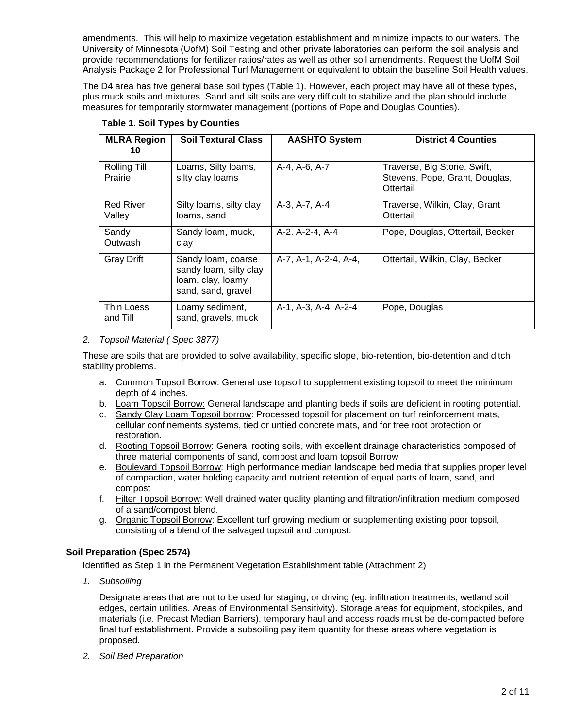amendments. This will help to maximize vegetation establishment and minimize impacts to our waters. The University of Minnesota (UofM) Soil Testing and other private laboratories can perform the soil analysis and provide recommendations for fertilizer ratios/rates as well as other soil amendments. Request the UofM Soil Analysis Package 2 for Professional Turf Management or equivalent to obtain the baseline Soil Health values.

The D4 area has five general base soil types (Table 1). However, each project may have all of these types, plus muck soils and mixtures. Sand and silt soils are very difficult to stabilize and the plan should include measures for temporarily stormwater management (portions of Pope and Douglas Counties).

| <b>MLRA Region</b><br>10   | <b>Soil Textural Class</b>                                                              | <b>AASHTO System</b>  | <b>District 4 Counties</b>                                                 |
|----------------------------|-----------------------------------------------------------------------------------------|-----------------------|----------------------------------------------------------------------------|
| Rolling Till<br>Prairie    | Loams, Silty Ioams,<br>silty clay loams                                                 | A-4, A-6, A-7         | Traverse, Big Stone, Swift,<br>Stevens, Pope, Grant, Douglas,<br>Ottertail |
| <b>Red River</b><br>Valley | Silty loams, silty clay<br>loams, sand                                                  | A-3, A-7, A-4         | Traverse, Wilkin, Clay, Grant<br>Ottertail                                 |
| Sandy<br>Outwash           | Sandy loam, muck,<br>clay                                                               | A-2. A-2-4, A-4       | Pope, Douglas, Ottertail, Becker                                           |
| <b>Gray Drift</b>          | Sandy loam, coarse<br>sandy loam, silty clay<br>loam, clay, loamy<br>sand, sand, gravel | A-7, A-1, A-2-4, A-4, | Ottertail, Wilkin, Clay, Becker                                            |
| Thin Loess<br>and Till     | Loamy sediment,<br>sand, gravels, muck                                                  | A-1, A-3, A-4, A-2-4  | Pope, Douglas                                                              |

**Table 1. Soil Types by Counties**

#### *2. Topsoil Material ( Spec 3877)*

These are soils that are provided to solve availability, specific slope, bio-retention, bio-detention and ditch stability problems.

- a. Common Topsoil Borrow: General use topsoil to supplement existing topsoil to meet the minimum depth of 4 inches.
- b. Loam Topsoil Borrow: General landscape and planting beds if soils are deficient in rooting potential.
- c. Sandy Clay Loam Topsoil borrow: Processed topsoil for placement on turf reinforcement mats, cellular confinements systems, tied or untied concrete mats, and for tree root protection or restoration.
- d. Rooting Topsoil Borrow: General rooting soils, with excellent drainage characteristics composed of three material components of sand, compost and loam topsoil Borrow
- e. Boulevard Topsoil Borrow: High performance median landscape bed media that supplies proper level of compaction, water holding capacity and nutrient retention of equal parts of loam, sand, and compost
- f. Filter Topsoil Borrow: Well drained water quality planting and filtration/infiltration medium composed of a sand/compost blend.
- g. Organic Topsoil Borrow: Excellent turf growing medium or supplementing existing poor topsoil, consisting of a blend of the salvaged topsoil and compost.

### **Soil Preparation (Spec 2574)**

Identified as Step 1 in the Permanent Vegetation Establishment table (Attachment 2)

*1. Subsoiling*

Designate areas that are not to be used for staging, or driving (eg. infiltration treatments, wetland soil edges, certain utilities, Areas of Environmental Sensitivity). Storage areas for equipment, stockpiles, and materials (i.e. Precast Median Barriers), temporary haul and access roads must be de-compacted before final turf establishment. Provide a subsoiling pay item quantity for these areas where vegetation is proposed.

*2. Soil Bed Preparation*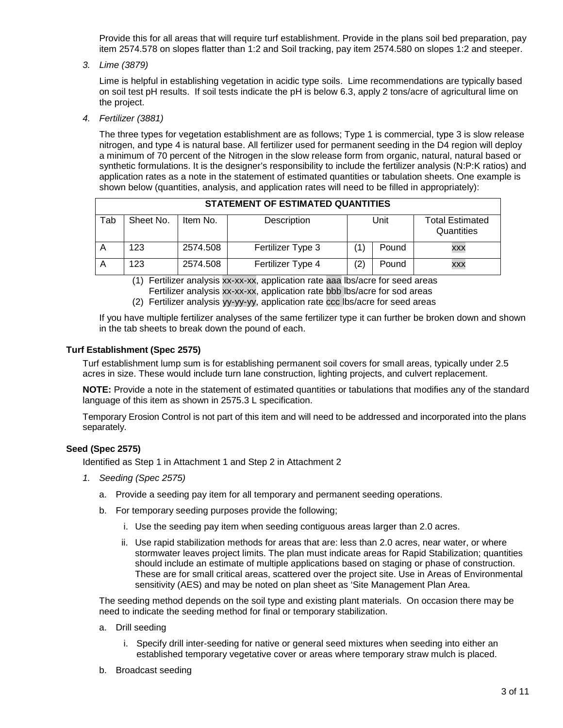Provide this for all areas that will require turf establishment. Provide in the plans soil bed preparation, pay item 2574.578 on slopes flatter than 1:2 and Soil tracking, pay item 2574.580 on slopes 1:2 and steeper.

*3. Lime (3879)* 

Lime is helpful in establishing vegetation in acidic type soils. Lime recommendations are typically based on soil test pH results. If soil tests indicate the pH is below 6.3, apply 2 tons/acre of agricultural lime on the project.

*4. Fertilizer (3881)*

The three types for vegetation establishment are as follows; Type 1 is commercial, type 3 is slow release nitrogen, and type 4 is natural base. All fertilizer used for permanent seeding in the D4 region will deploy a minimum of 70 percent of the Nitrogen in the slow release form from organic, natural, natural based or synthetic formulations. It is the designer's responsibility to include the fertilizer analysis (N:P:K ratios) and application rates as a note in the statement of estimated quantities or tabulation sheets. One example is shown below (quantities, analysis, and application rates will need to be filled in appropriately):

|     | STATEMENT OF ESTIMATED QUANTITIES |          |                   |     |       |                                      |  |  |
|-----|-----------------------------------|----------|-------------------|-----|-------|--------------------------------------|--|--|
| Tab | Sheet No.                         | Item No. | Description       |     | Unit  | <b>Total Estimated</b><br>Quantities |  |  |
|     | 123                               | 2574.508 | Fertilizer Type 3 |     | Pound | <b>XXX</b>                           |  |  |
|     | 123                               | 2574.508 | Fertilizer Type 4 | '2. | Pound | <b>XXX</b>                           |  |  |

(1) Fertilizer analysis xx-xx-xx, application rate aaa lbs/acre for seed areas Fertilizer analysis xx-xx-xx, application rate bbb lbs/acre for sod areas

(2) Fertilizer analysis yy-yy-yy, application rate ccc lbs/acre for seed areas

If you have multiple fertilizer analyses of the same fertilizer type it can further be broken down and shown in the tab sheets to break down the pound of each.

#### **Turf Establishment (Spec 2575)**

Turf establishment lump sum is for establishing permanent soil covers for small areas, typically under 2.5 acres in size. These would include turn lane construction, lighting projects, and culvert replacement.

**NOTE:** Provide a note in the statement of estimated quantities or tabulations that modifies any of the standard language of this item as shown in 2575.3 L specification.

Temporary Erosion Control is not part of this item and will need to be addressed and incorporated into the plans separately.

#### **Seed (Spec 2575)**

Identified as Step 1 in Attachment 1 and Step 2 in Attachment 2

- *1. Seeding (Spec 2575)*
	- a. Provide a seeding pay item for all temporary and permanent seeding operations.
	- b. For temporary seeding purposes provide the following;
		- i. Use the seeding pay item when seeding contiguous areas larger than 2.0 acres.
		- ii. Use rapid stabilization methods for areas that are: less than 2.0 acres, near water, or where stormwater leaves project limits. The plan must indicate areas for Rapid Stabilization; quantities should include an estimate of multiple applications based on staging or phase of construction. These are for small critical areas, scattered over the project site. Use in Areas of Environmental sensitivity (AES) and may be noted on plan sheet as 'Site Management Plan Area.

The seeding method depends on the soil type and existing plant materials. On occasion there may be need to indicate the seeding method for final or temporary stabilization.

- a. Drill seeding
	- i. Specify drill inter-seeding for native or general seed mixtures when seeding into either an established temporary vegetative cover or areas where temporary straw mulch is placed.
- b. Broadcast seeding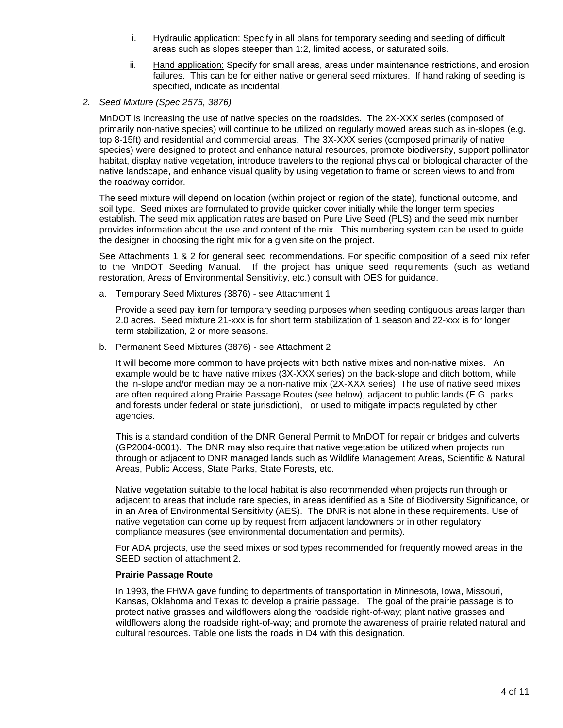- i. Hydraulic application: Specify in all plans for temporary seeding and seeding of difficult areas such as slopes steeper than 1:2, limited access, or saturated soils.
- ii. Hand application: Specify for small areas, areas under maintenance restrictions, and erosion failures. This can be for either native or general seed mixtures. If hand raking of seeding is specified, indicate as incidental.
- *2. Seed Mixture (Spec 2575, 3876)*

MnDOT is increasing the use of native species on the roadsides. The 2X-XXX series (composed of primarily non-native species) will continue to be utilized on regularly mowed areas such as in-slopes (e.g. top 8-15ft) and residential and commercial areas. The 3X-XXX series (composed primarily of native species) were designed to protect and enhance natural resources, promote biodiversity, support pollinator habitat, display native vegetation, introduce travelers to the regional physical or biological character of the native landscape, and enhance visual quality by using vegetation to frame or screen views to and from the roadway corridor.

The seed mixture will depend on location (within project or region of the state), functional outcome, and soil type. Seed mixes are formulated to provide quicker cover initially while the longer term species establish. The seed mix application rates are based on Pure Live Seed (PLS) and the seed mix number provides information about the use and content of the mix. This numbering system can be used to guide the designer in choosing the right mix for a given site on the project.

See Attachments 1 & 2 for general seed recommendations. For specific composition of a seed mix refer to the MnDOT Seeding Manual. If the project has unique seed requirements (such as wetland restoration, Areas of Environmental Sensitivity, etc.) consult with OES for guidance.

a. Temporary Seed Mixtures (3876) - see Attachment 1

Provide a seed pay item for temporary seeding purposes when seeding contiguous areas larger than 2.0 acres. Seed mixture 21-xxx is for short term stabilization of 1 season and 22-xxx is for longer term stabilization, 2 or more seasons.

b. Permanent Seed Mixtures (3876) - see Attachment 2

It will become more common to have projects with both native mixes and non-native mixes. An example would be to have native mixes (3X-XXX series) on the back-slope and ditch bottom, while the in-slope and/or median may be a non-native mix (2X-XXX series). The use of native seed mixes are often required along Prairie Passage Routes (see below), adjacent to public lands (E.G. parks and forests under federal or state jurisdiction), or used to mitigate impacts regulated by other agencies.

This is a standard condition of the DNR General Permit to MnDOT for repair or bridges and culverts (GP2004-0001). The DNR may also require that native vegetation be utilized when projects run through or adjacent to DNR managed lands such as Wildlife Management Areas, Scientific & Natural Areas, Public Access, State Parks, State Forests, etc.

Native vegetation suitable to the local habitat is also recommended when projects run through or adjacent to areas that include rare species, in areas identified as a Site of Biodiversity Significance, or in an Area of Environmental Sensitivity (AES). The DNR is not alone in these requirements. Use of native vegetation can come up by request from adjacent landowners or in other regulatory compliance measures (see environmental documentation and permits).

For ADA projects, use the seed mixes or sod types recommended for frequently mowed areas in the SEED section of attachment 2.

#### **Prairie Passage Route**

In 1993, the FHWA gave funding to departments of transportation in Minnesota, Iowa, Missouri, Kansas, Oklahoma and Texas to develop a prairie passage. The goal of the prairie passage is to protect native grasses and wildflowers along the roadside right-of-way; plant native grasses and wildflowers along the roadside right-of-way; and promote the awareness of prairie related natural and cultural resources. Table one lists the roads in D4 with this designation.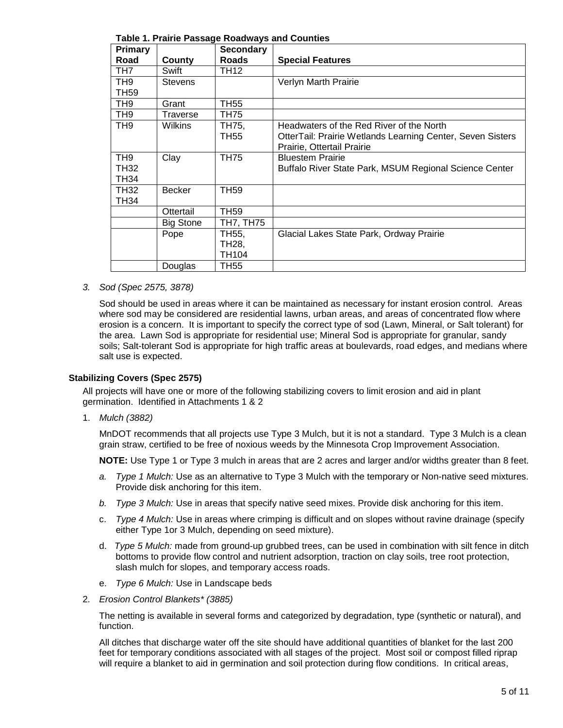| <b>Primary</b>                                |                  | rable 1.1 raille i assaye Koauways and Countles<br><b>Secondary</b> |                                                                                                                                      |
|-----------------------------------------------|------------------|---------------------------------------------------------------------|--------------------------------------------------------------------------------------------------------------------------------------|
| Road                                          | County           | <b>Roads</b>                                                        | <b>Special Features</b>                                                                                                              |
| TH7                                           | Swift            | TH12                                                                |                                                                                                                                      |
| TH9<br><b>TH59</b>                            | <b>Stevens</b>   |                                                                     | Verlyn Marth Prairie                                                                                                                 |
| TH9                                           | Grant            | TH55                                                                |                                                                                                                                      |
|                                               |                  |                                                                     |                                                                                                                                      |
| TH <sub>9</sub>                               | Traverse         | TH75                                                                |                                                                                                                                      |
| TH9                                           | <b>Wilkins</b>   | TH75,<br>TH55                                                       | Headwaters of the Red River of the North<br>OtterTail: Prairie Wetlands Learning Center, Seven Sisters<br>Prairie, Ottertail Prairie |
| TH <sub>9</sub><br><b>TH32</b><br><b>TH34</b> | Clay             | <b>TH75</b>                                                         | <b>Bluestem Prairie</b><br>Buffalo River State Park, MSUM Regional Science Center                                                    |
| <b>TH32</b><br><b>TH34</b>                    | <b>Becker</b>    | <b>TH59</b>                                                         |                                                                                                                                      |
|                                               | Ottertail        | TH <sub>59</sub>                                                    |                                                                                                                                      |
|                                               | <b>Big Stone</b> | TH7, TH75                                                           |                                                                                                                                      |
|                                               | Pope             | TH55,<br>TH28,<br>TH104                                             | Glacial Lakes State Park, Ordway Prairie                                                                                             |
|                                               | Douglas          | TH55                                                                |                                                                                                                                      |

**Table 1. Prairie Passage Roadways and Counties**

#### *3. Sod (Spec 2575, 3878)*

Sod should be used in areas where it can be maintained as necessary for instant erosion control. Areas where sod may be considered are residential lawns, urban areas, and areas of concentrated flow where erosion is a concern. It is important to specify the correct type of sod (Lawn, Mineral, or Salt tolerant) for the area. Lawn Sod is appropriate for residential use; Mineral Sod is appropriate for granular, sandy soils; Salt-tolerant Sod is appropriate for high traffic areas at boulevards, road edges, and medians where salt use is expected.

#### **Stabilizing Covers (Spec 2575)**

All projects will have one or more of the following stabilizing covers to limit erosion and aid in plant germination. Identified in Attachments 1 & 2

1. *Mulch (3882)* 

MnDOT recommends that all projects use Type 3 Mulch, but it is not a standard. Type 3 Mulch is a clean grain straw, certified to be free of noxious weeds by the Minnesota Crop Improvement Association.

**NOTE:** Use Type 1 or Type 3 mulch in areas that are 2 acres and larger and/or widths greater than 8 feet.

- *a. Type 1 Mulch:* Use as an alternative to Type 3 Mulch with the temporary or Non-native seed mixtures. Provide disk anchoring for this item.
- *b. Type 3 Mulch:* Use in areas that specify native seed mixes. Provide disk anchoring for this item.
- c. *Type 4 Mulch:* Use in areas where crimping is difficult and on slopes without ravine drainage (specify either Type 1or 3 Mulch, depending on seed mixture).
- d. *Type 5 Mulch:* made from ground-up grubbed trees, can be used in combination with silt fence in ditch bottoms to provide flow control and nutrient adsorption, traction on clay soils, tree root protection, slash mulch for slopes, and temporary access roads.
- e. *Type 6 Mulch:* Use in Landscape beds
- 2. *Erosion Control Blankets\* (3885)*

The netting is available in several forms and categorized by degradation, type (synthetic or natural), and function.

All ditches that discharge water off the site should have additional quantities of blanket for the last 200 feet for temporary conditions associated with all stages of the project. Most soil or compost filled riprap will require a blanket to aid in germination and soil protection during flow conditions. In critical areas,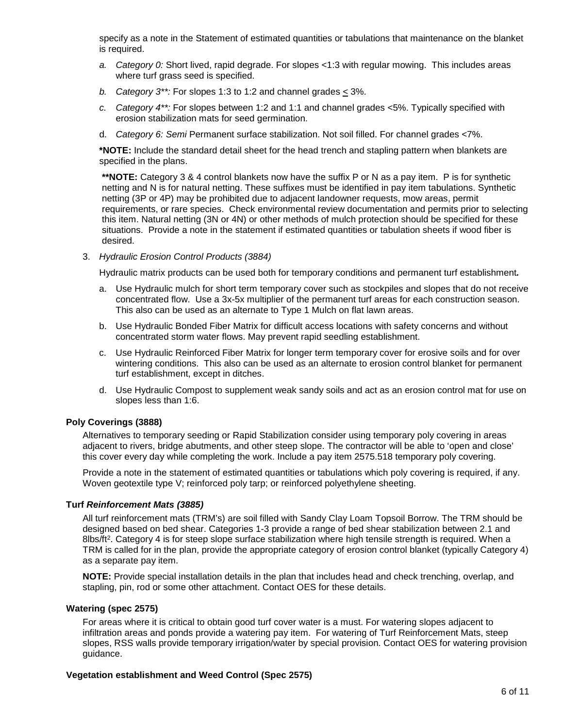specify as a note in the Statement of estimated quantities or tabulations that maintenance on the blanket is required.

- *a. Category 0:* Short lived, rapid degrade. For slopes <1:3 with regular mowing. This includes areas where turf grass seed is specified.
- *b. Category 3\*\*:* For slopes 1:3 to 1:2 and channel grades < 3%.
- *c. Category 4\*\*:* For slopes between 1:2 and 1:1 and channel grades <5%. Typically specified with erosion stabilization mats for seed germination.
- d. *Category 6: Semi* Permanent surface stabilization. Not soil filled. For channel grades <7%.

**\*NOTE:** Include the standard detail sheet for the head trench and stapling pattern when blankets are specified in the plans.

**\*\*NOTE:** Category 3 & 4 control blankets now have the suffix P or N as a pay item. P is for synthetic netting and N is for natural netting. These suffixes must be identified in pay item tabulations. Synthetic netting (3P or 4P) may be prohibited due to adjacent landowner requests, mow areas, permit requirements, or rare species. Check environmental review documentation and permits prior to selecting this item. Natural netting (3N or 4N) or other methods of mulch protection should be specified for these situations. Provide a note in the statement if estimated quantities or tabulation sheets if wood fiber is desired.

3. *Hydraulic Erosion Control Products (3884)*

Hydraulic matrix products can be used both for temporary conditions and permanent turf establishment*.* 

- a. Use Hydraulic mulch for short term temporary cover such as stockpiles and slopes that do not receive concentrated flow. Use a 3x-5x multiplier of the permanent turf areas for each construction season. This also can be used as an alternate to Type 1 Mulch on flat lawn areas.
- b. Use Hydraulic Bonded Fiber Matrix for difficult access locations with safety concerns and without concentrated storm water flows. May prevent rapid seedling establishment.
- c. Use Hydraulic Reinforced Fiber Matrix for longer term temporary cover for erosive soils and for over wintering conditions. This also can be used as an alternate to erosion control blanket for permanent turf establishment, except in ditches.
- d. Use Hydraulic Compost to supplement weak sandy soils and act as an erosion control mat for use on slopes less than 1:6.

#### **Poly Coverings (3888)**

Alternatives to temporary seeding or Rapid Stabilization consider using temporary poly covering in areas adjacent to rivers, bridge abutments, and other steep slope. The contractor will be able to 'open and close' this cover every day while completing the work. Include a pay item 2575.518 temporary poly covering.

Provide a note in the statement of estimated quantities or tabulations which poly covering is required, if any. Woven geotextile type V; reinforced poly tarp; or reinforced polyethylene sheeting.

#### **Turf** *Reinforcement Mats (3885)*

All turf reinforcement mats (TRM's) are soil filled with Sandy Clay Loam Topsoil Borrow. The TRM should be designed based on bed shear. Categories 1-3 provide a range of bed shear stabilization between 2.1 and 8lbs/ft<sup>2</sup>. Category 4 is for steep slope surface stabilization where high tensile strength is required. When a TRM is called for in the plan, provide the appropriate category of erosion control blanket (typically Category 4) as a separate pay item.

**NOTE:** Provide special installation details in the plan that includes head and check trenching, overlap, and stapling, pin, rod or some other attachment. Contact OES for these details.

#### **Watering (spec 2575)**

For areas where it is critical to obtain good turf cover water is a must. For watering slopes adjacent to infiltration areas and ponds provide a watering pay item. For watering of Turf Reinforcement Mats, steep slopes, RSS walls provide temporary irrigation/water by special provision. Contact OES for watering provision guidance.

#### **Vegetation establishment and Weed Control (Spec 2575)**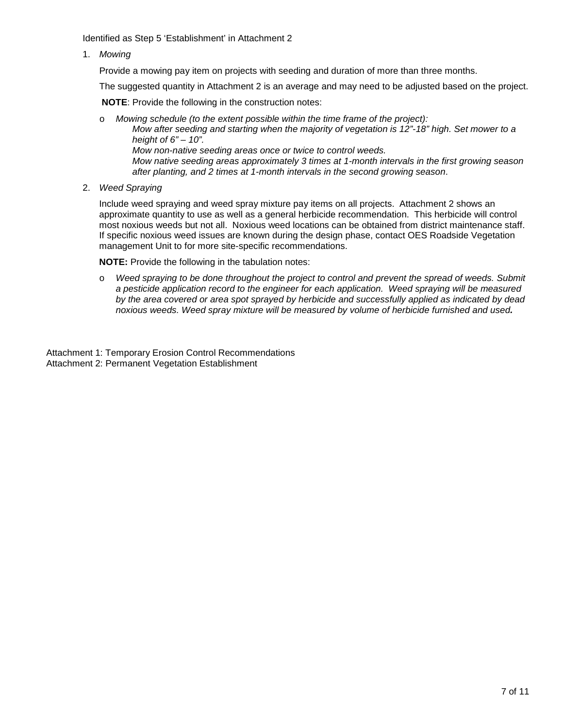Identified as Step 5 'Establishment' in Attachment 2

1. *Mowing*

Provide a mowing pay item on projects with seeding and duration of more than three months.

The suggested quantity in Attachment 2 is an average and may need to be adjusted based on the project.

**NOTE**: Provide the following in the construction notes:

o *Mowing schedule (to the extent possible within the time frame of the project): Mow after seeding and starting when the majority of vegetation is 12"-18" high. Set mower to a height of 6" – 10". Mow non-native seeding areas once or twice to control weeds. Mow native seeding areas approximately 3 times at 1-month intervals in the first growing season after planting, and 2 times at 1-month intervals in the second growing season*.

2. *Weed Spraying* 

Include weed spraying and weed spray mixture pay items on all projects. Attachment 2 shows an approximate quantity to use as well as a general herbicide recommendation. This herbicide will control most noxious weeds but not all. Noxious weed locations can be obtained from district maintenance staff. If specific noxious weed issues are known during the design phase, contact OES Roadside Vegetation management Unit to for more site-specific recommendations.

**NOTE:** Provide the following in the tabulation notes:

o *Weed spraying to be done throughout the project to control and prevent the spread of weeds. Submit a pesticide application record to the engineer for each application. Weed spraying will be measured by the area covered or area spot sprayed by herbicide and successfully applied as indicated by dead noxious weeds. Weed spray mixture will be measured by volume of herbicide furnished and used.* 

Attachment 1: Temporary Erosion Control Recommendations Attachment 2: Permanent Vegetation Establishment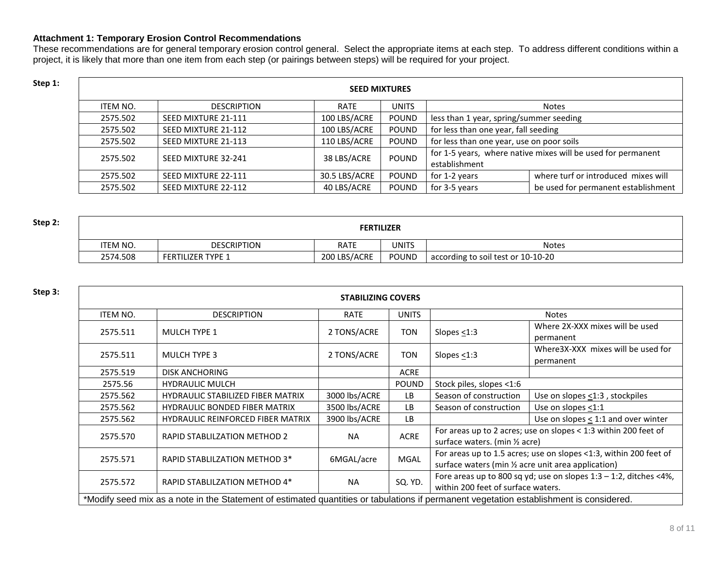#### **Attachment 1: Temporary Erosion Control Recommendations**

These recommendations are for general temporary erosion control general. Select the appropriate items at each step. To address different conditions within a project, it is likely that more than one item from each step (or pairings between steps) will be required for your project.

| Step 1: |          | <b>SEED MIXTURES</b> |               |              |                                           |                                                              |  |
|---------|----------|----------------------|---------------|--------------|-------------------------------------------|--------------------------------------------------------------|--|
|         | ITEM NO. | <b>DESCRIPTION</b>   | <b>RATE</b>   | <b>UNITS</b> |                                           | <b>Notes</b>                                                 |  |
|         | 2575.502 | SEED MIXTURE 21-111  | 100 LBS/ACRE  | POUND        | less than 1 year, spring/summer seeding   |                                                              |  |
|         | 2575.502 | SEED MIXTURE 21-112  | 100 LBS/ACRE  | <b>POUND</b> | for less than one year, fall seeding      |                                                              |  |
|         | 2575.502 | SEED MIXTURE 21-113  | 110 LBS/ACRE  | <b>POUND</b> | for less than one year, use on poor soils |                                                              |  |
|         | 2575.502 | SEED MIXTURE 32-241  | 38 LBS/ACRE   | <b>POUND</b> |                                           | for 1-5 years, where native mixes will be used for permanent |  |
|         |          |                      |               |              | establishment                             |                                                              |  |
|         | 2575.502 | SEED MIXTURE 22-111  | 30.5 LBS/ACRE | <b>POUND</b> | for 1-2 years                             | where turf or introduced mixes will                          |  |
|         | 2575.502 | SEED MIXTURE 22-112  | 40 LBS/ACRE   | POUND        | for 3-5 years                             | be used for permanent establishment                          |  |

| Step 2: | <b>FERTILIZER</b> |                          |              |              |                                    |  |
|---------|-------------------|--------------------------|--------------|--------------|------------------------------------|--|
|         | <b>ITEM NO.</b>   | <b>DESCRIPTION</b>       | <b>RATE</b>  | <b>UNITS</b> | <b>Notes</b>                       |  |
|         | 2574.508          | <b>FERTILIZER TYPE 1</b> | 200 LBS/ACRE | <b>POUND</b> | according to soil test or 10-10-20 |  |

| Step 3: | <b>STABILIZING COVERS</b> |                                                                                                                                         |               |              |                                                                                                                          |                                                                 |
|---------|---------------------------|-----------------------------------------------------------------------------------------------------------------------------------------|---------------|--------------|--------------------------------------------------------------------------------------------------------------------------|-----------------------------------------------------------------|
|         | ITEM NO.                  | <b>DESCRIPTION</b>                                                                                                                      | <b>RATE</b>   | <b>UNITS</b> |                                                                                                                          | <b>Notes</b>                                                    |
|         | 2575.511                  | <b>MULCH TYPE 1</b>                                                                                                                     | 2 TONS/ACRE   | TON          | Slopes $<$ 1:3                                                                                                           | Where 2X-XXX mixes will be used<br>permanent                    |
|         | 2575.511                  | <b>MULCH TYPE 3</b>                                                                                                                     | 2 TONS/ACRE   | TON          | Slopes $<$ 1:3                                                                                                           | Where 3X-XXX mixes will be used for<br>permanent                |
|         | 2575.519                  | <b>DISK ANCHORING</b>                                                                                                                   |               | <b>ACRE</b>  |                                                                                                                          |                                                                 |
|         | 2575.56                   | <b>HYDRAULIC MULCH</b>                                                                                                                  |               | <b>POUND</b> | Stock piles, slopes <1:6                                                                                                 |                                                                 |
|         | 2575.562                  | <b>HYDRAULIC STABILIZED FIBER MATRIX</b>                                                                                                | 3000 lbs/ACRE | LB           | Season of construction                                                                                                   | Use on slopes <1:3, stockpiles                                  |
|         | 2575.562                  | <b>HYDRAULIC BONDED FIBER MATRIX</b>                                                                                                    | 3500 lbs/ACRE | <b>LB</b>    | Season of construction                                                                                                   | Use on slopes <1:1                                              |
|         | 2575.562                  | <b>HYDRAULIC REINFORCED FIBER MATRIX</b>                                                                                                | 3900 lbs/ACRE | LB           |                                                                                                                          | Use on slopes $<$ 1:1 and over winter                           |
|         | 2575.570                  | RAPID STABLILZATION METHOD 2                                                                                                            | <b>NA</b>     | <b>ACRE</b>  | surface waters. (min 1/2 acre)                                                                                           | For areas up to 2 acres; use on slopes < 1:3 within 200 feet of |
|         | 2575.571                  | RAPID STABLILZATION METHOD 3*                                                                                                           | 6MGAL/acre    | <b>MGAL</b>  | For areas up to 1.5 acres; use on slopes <1:3, within 200 feet of<br>surface waters (min 1/2 acre unit area application) |                                                                 |
|         | 2575.572                  | RAPID STABLILZATION METHOD 4*                                                                                                           | <b>NA</b>     | SQ. YD.      | Fore areas up to 800 sq yd; use on slopes $1:3 - 1:2$ , ditches <4%,<br>within 200 feet of surface waters.               |                                                                 |
|         |                           | *Modify seed mix as a note in the Statement of estimated quantities or tabulations if permanent vegetation establishment is considered. |               |              |                                                                                                                          |                                                                 |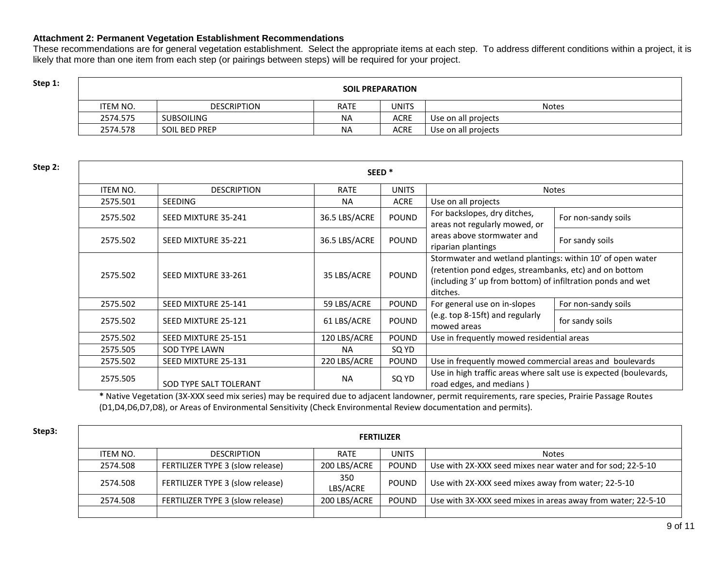#### **Attachment 2: Permanent Vegetation Establishment Recommendations**

These recommendations are for general vegetation establishment. Select the appropriate items at each step. To address different conditions within a project, it is likely that more than one item from each step (or pairings between steps) will be required for your project.

## **Step 1: Step 1: SOIL PREPARATION**

| ITEM NO. | <b>DESCRIPTION</b>   | <b>RATE</b> | UNITS       | <b>Notes</b>        |
|----------|----------------------|-------------|-------------|---------------------|
| 2574.575 | <b>SUBSOILING</b>    | <b>NA</b>   | ACRE        | Use on all projects |
| 2574.578 | <b>SOIL BED PREP</b> | <b>NA</b>   | <b>ACRE</b> | Use on all projects |

| Step 2: | SEED <sup>*</sup> |                        |               |              |                                                                                                                                                                                                 |                     |  |
|---------|-------------------|------------------------|---------------|--------------|-------------------------------------------------------------------------------------------------------------------------------------------------------------------------------------------------|---------------------|--|
|         | ITEM NO.          | <b>DESCRIPTION</b>     | RATE          | <b>UNITS</b> |                                                                                                                                                                                                 | <b>Notes</b>        |  |
|         | 2575.501          | <b>SEEDING</b>         | <b>NA</b>     | <b>ACRE</b>  | Use on all projects                                                                                                                                                                             |                     |  |
|         | 2575.502          | SEED MIXTURE 35-241    | 36.5 LBS/ACRE | <b>POUND</b> | For backslopes, dry ditches,<br>areas not regularly mowed, or                                                                                                                                   | For non-sandy soils |  |
|         | 2575.502          | SEED MIXTURE 35-221    | 36.5 LBS/ACRE | <b>POUND</b> | areas above stormwater and<br>riparian plantings                                                                                                                                                | For sandy soils     |  |
|         | 2575.502          | SEED MIXTURE 33-261    | 35 LBS/ACRE   | <b>POUND</b> | Stormwater and wetland plantings: within 10' of open water<br>(retention pond edges, streambanks, etc) and on bottom<br>(including 3' up from bottom) of infiltration ponds and wet<br>ditches. |                     |  |
|         | 2575.502          | SEED MIXTURE 25-141    | 59 LBS/ACRE   | <b>POUND</b> | For general use on in-slopes                                                                                                                                                                    | For non-sandy soils |  |
|         | 2575.502          | SEED MIXTURE 25-121    | 61 LBS/ACRE   | <b>POUND</b> | (e.g. top 8-15ft) and regularly<br>mowed areas                                                                                                                                                  | for sandy soils     |  |
|         | 2575.502          | SEED MIXTURE 25-151    | 120 LBS/ACRE  | <b>POUND</b> | Use in frequently mowed residential areas                                                                                                                                                       |                     |  |
|         | 2575.505          | <b>SOD TYPE LAWN</b>   | <b>NA</b>     | SQ YD        |                                                                                                                                                                                                 |                     |  |
|         | 2575.502          | SEED MIXTURE 25-131    | 220 LBS/ACRE  | <b>POUND</b> | Use in frequently mowed commercial areas and boulevards                                                                                                                                         |                     |  |
|         | 2575.505          | SOD TYPE SALT TOLERANT | <b>NA</b>     | SQ YD        | Use in high traffic areas where salt use is expected (boulevards,<br>road edges, and medians)                                                                                                   |                     |  |

**\*** Native Vegetation (3X-XXX seed mix series) may be required due to adjacent landowner, permit requirements, rare species, Prairie Passage Routes (D1,D4,D6,D7,D8), or Areas of Environmental Sensitivity (Check Environmental Review documentation and permits).

| Step3: | <b>FERTILIZER</b> |                                  |                 |              |                                                              |  |  |  |
|--------|-------------------|----------------------------------|-----------------|--------------|--------------------------------------------------------------|--|--|--|
|        | ITEM NO.          | <b>DESCRIPTION</b>               | <b>RATE</b>     | <b>UNITS</b> | <b>Notes</b>                                                 |  |  |  |
|        | 2574.508          | FERTILIZER TYPE 3 (slow release) | 200 LBS/ACRE    | POUND        | Use with 2X-XXX seed mixes near water and for sod; 22-5-10   |  |  |  |
|        | 2574.508          | FERTILIZER TYPE 3 (slow release) | 350<br>LBS/ACRE | POUND        | Use with 2X-XXX seed mixes away from water; 22-5-10          |  |  |  |
|        | 2574.508          | FERTILIZER TYPE 3 (slow release) | 200 LBS/ACRE    | POUND        | Use with 3X-XXX seed mixes in areas away from water; 22-5-10 |  |  |  |
|        |                   |                                  |                 |              |                                                              |  |  |  |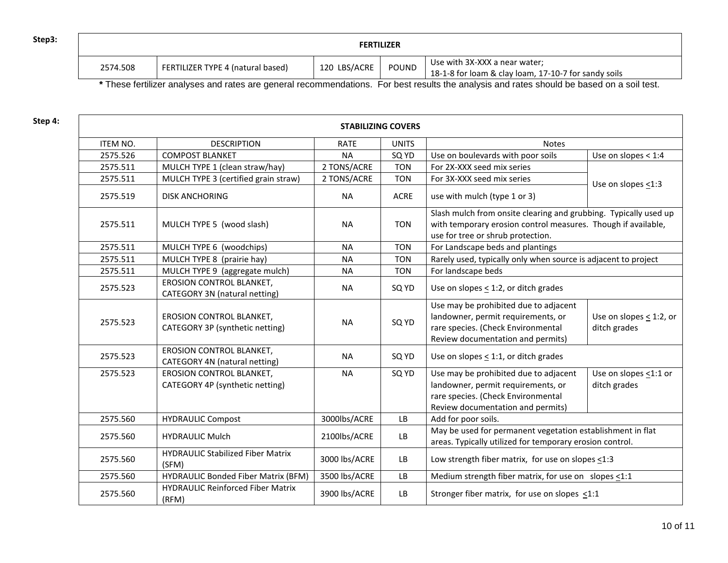| Step3: |          |                                   |              |       |                                                                                       |
|--------|----------|-----------------------------------|--------------|-------|---------------------------------------------------------------------------------------|
|        | 2574.508 | FERTILIZER TYPE 4 (natural based) | 120 LBS/ACRE | POUND | Use with 3X-XXX a near water;<br>18-1-8 for loam & clay loam, 17-10-7 for sandy soils |

**\*** These fertilizer analyses and rates are general recommendations. For best results the analysis and rates should be based on a soil test.

| Step 4: | <b>STABILIZING COVERS</b> |                                                                    |               |                       |                                                                                                                                                                        |                                           |  |
|---------|---------------------------|--------------------------------------------------------------------|---------------|-----------------------|------------------------------------------------------------------------------------------------------------------------------------------------------------------------|-------------------------------------------|--|
|         | ITEM NO.                  | <b>DESCRIPTION</b>                                                 | <b>RATE</b>   | <b>UNITS</b><br>Notes |                                                                                                                                                                        |                                           |  |
|         | 2575.526                  | <b>COMPOST BLANKET</b>                                             | <b>NA</b>     | SQ YD                 | Use on boulevards with poor soils                                                                                                                                      | Use on slopes $<$ 1:4                     |  |
|         | 2575.511                  | MULCH TYPE 1 (clean straw/hay)                                     | 2 TONS/ACRE   | <b>TON</b>            | For 2X-XXX seed mix series                                                                                                                                             |                                           |  |
|         | 2575.511                  | MULCH TYPE 3 (certified grain straw)                               | 2 TONS/ACRE   | <b>TON</b>            | For 3X-XXX seed mix series                                                                                                                                             |                                           |  |
|         | 2575.519                  | <b>DISK ANCHORING</b>                                              | <b>NA</b>     | ACRE                  | use with mulch (type 1 or 3)                                                                                                                                           | Use on slopes $\leq$ 1:3                  |  |
|         | 2575.511                  | MULCH TYPE 5 (wood slash)                                          | <b>NA</b>     | <b>TON</b>            | Slash mulch from onsite clearing and grubbing. Typically used up<br>with temporary erosion control measures. Though if available,<br>use for tree or shrub protection. |                                           |  |
|         | 2575.511                  | MULCH TYPE 6 (woodchips)                                           | <b>NA</b>     | <b>TON</b>            | For Landscape beds and plantings                                                                                                                                       |                                           |  |
|         | 2575.511                  | MULCH TYPE 8 (prairie hay)                                         | <b>NA</b>     | <b>TON</b>            | Rarely used, typically only when source is adjacent to project                                                                                                         |                                           |  |
|         | 2575.511                  | MULCH TYPE 9 (aggregate mulch)                                     | <b>NA</b>     | <b>TON</b>            | For landscape beds                                                                                                                                                     |                                           |  |
|         | 2575.523                  | EROSION CONTROL BLANKET,<br>CATEGORY 3N (natural netting)          | <b>NA</b>     | SQ YD                 | Use on slopes $\leq$ 1:2, or ditch grades                                                                                                                              |                                           |  |
|         | 2575.523                  | EROSION CONTROL BLANKET,<br>CATEGORY 3P (synthetic netting)        | <b>NA</b>     | SQ YD                 | Use may be prohibited due to adjacent<br>landowner, permit requirements, or<br>rare species. (Check Environmental<br>Review documentation and permits)                 | Use on slopes $<$ 1:2, or<br>ditch grades |  |
|         | 2575.523                  | EROSION CONTROL BLANKET,<br>CATEGORY 4N (natural netting)          | <b>NA</b>     | SQ YD                 | Use on slopes $<$ 1:1, or ditch grades                                                                                                                                 |                                           |  |
|         | 2575.523                  | <b>EROSION CONTROL BLANKET,</b><br>CATEGORY 4P (synthetic netting) | <b>NA</b>     | SQ YD                 | Use may be prohibited due to adjacent<br>landowner, permit requirements, or<br>rare species. (Check Environmental<br>Review documentation and permits)                 | Use on slopes <1:1 or<br>ditch grades     |  |
|         | 2575.560                  | <b>HYDRAULIC Compost</b>                                           | 3000lbs/ACRE  | <b>LB</b>             | Add for poor soils.                                                                                                                                                    |                                           |  |
|         | 2575.560                  | <b>HYDRAULIC Mulch</b>                                             | 2100lbs/ACRE  | LB                    | May be used for permanent vegetation establishment in flat<br>areas. Typically utilized for temporary erosion control.                                                 |                                           |  |
|         | 2575.560                  | <b>HYDRAULIC Stabilized Fiber Matrix</b><br>(SFM)                  | 3000 lbs/ACRE | LB                    | Low strength fiber matrix, for use on slopes $\leq$ 1:3                                                                                                                |                                           |  |
|         | 2575.560                  | <b>HYDRAULIC Bonded Fiber Matrix (BFM)</b>                         | 3500 lbs/ACRE | <b>LB</b>             | Medium strength fiber matrix, for use on slopes <1:1                                                                                                                   |                                           |  |
|         | 2575.560                  | <b>HYDRAULIC Reinforced Fiber Matrix</b><br>(RFM)                  | 3900 lbs/ACRE | LB                    | Stronger fiber matrix, for use on slopes <1:1                                                                                                                          |                                           |  |